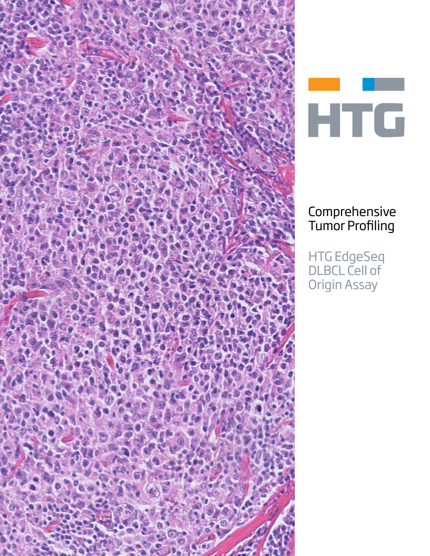



## Comprehensive Tumor Profiling

HTG EdgeSeq DLBCL Cell of Origin Assay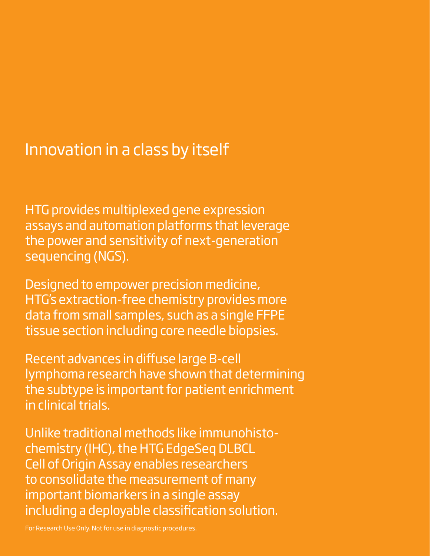## Innovation in a class by itself

HTG provides multiplexed gene expression assays and automation platforms that leverage the power and sensitivity of next-generation sequencing (NGS).

Designed to empower precision medicine, HTG's extraction-free chemistry provides more data from small samples, such as a single FFPE tissue section including core needle biopsies.

Recent advances in diffuse large B-cell lymphoma research have shown that determining the subtype is important for patient enrichment in clinical trials.

Unlike traditional methods like immunohistochemistry (IHC), the HTG EdgeSeq DLBCL Cell of Origin Assay enables researchers to consolidate the measurement of many important biomarkers in a single assay including a deployable classification solution.

**B** For Research Use Only. Not for use in diagnostic procedures.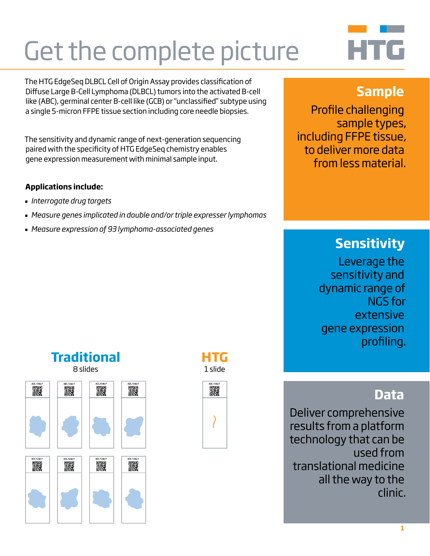# Get the complete picture

The HTG EdgeSeq DLBCL Cell of Origin Assay provides classification of Diffuse Large B-Cell Lymphoma (DLBCL) tumors into the activated B-cell like (ABC), germinal center B-cell like (GCB) or "unclassified" subtype using a single 5-micron FFPE tissue section including core needle biopsies.

The sensitivity and dynamic range of next-generation sequencing paired with the specificity of HTG EdgeSeq chemistry enables gene expression measurement with minimal sample input.

#### **Applications include:**

- *Interrogate drug targets*
- *Measure genes implicated in double and/or triple expresser lymphomas*
- *Measure expression of 93 lymphoma-associated genes*

## **Sample**

HTG

Profile challenging sample types, including FFPE tissue, to deliver more data from less material.

## **Sensitivity**

Leverage the sensitivity and dynamic range of NGS for extensive gene expression profiling.

## **Data**

Deliver comprehensive results from a platform technology that can be used from translational medicine all the way to the clinic.

**Traditional** 8 slides 靉 靉 靉 뾇 霧 靉 靉 靉

**HTG** 1 slide

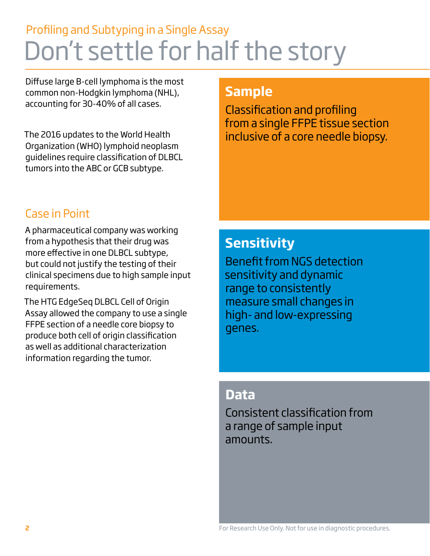## Profiling and Subtyping in a Single Assay Don't settle for half the story

Diffuse large B-cell lymphoma is the most common non-Hodgkin lymphoma (NHL), accounting for 30-40% of all cases.

The 2016 updates to the World Health Organization (WHO) lymphoid neoplasm guidelines require classification of DLBCL tumors into the ABC or GCB subtype.

## **Sample**

Classification and profiling from a single FFPE tissue section inclusive of a core needle biopsy.

## Case in Point

A pharmaceutical company was working from a hypothesis that their drug was more effective in one DLBCL subtype, but could not justify the testing of their clinical specimens due to high sample input requirements.

The HTG EdgeSeq DLBCL Cell of Origin Assay allowed the company to use a single FFPE section of a needle core biopsy to produce both cell of origin classification as well as additional characterization information regarding the tumor.

## **Sensitivity**

Benefit from NGS detection sensitivity and dynamic range to consistently measure small changes in high- and low-expressing genes.

### **Data**

Consistent classification from a range of sample input amounts.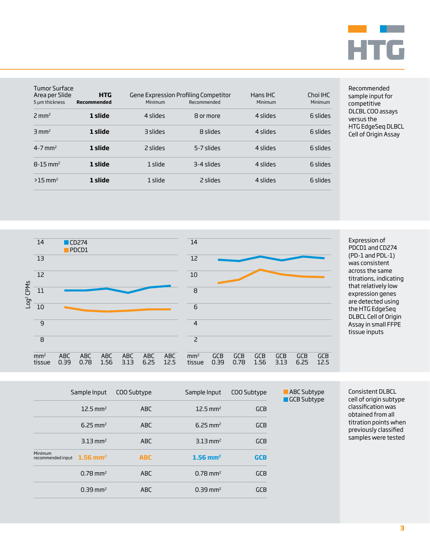

| Tumor Surface<br>Area per Slide<br>5 µm thickness | <b>HTG</b><br>Recommended | Minimum  | Gene Expression Profiling Competitor<br>Recommended | Hans IHC<br>Minimum | Choi IHC<br>Minimum |
|---------------------------------------------------|---------------------------|----------|-----------------------------------------------------|---------------------|---------------------|
| $2 \text{ mm}^2$                                  | 1 slide                   | 4 slides | 8 or more                                           | 4 slides            | 6 slides            |
| $3 \text{ mm}^2$                                  | 1 slide                   | 3 slides | 8 slides                                            | 4 slides            | 6 slides            |
| $4 - 7$ mm <sup>2</sup>                           | 1 slide                   | 2 slides | 5-7 slides                                          | 4 slides            | 6 slides            |
| $8 - 15$ mm <sup>2</sup>                          | 1 slide                   | 1 slide  | 3-4 slides                                          | 4 slides            | 6 slides            |
| $>15$ mm <sup>2</sup>                             | 1 slide                   | 1 slide  | 2 slides                                            | 4 slides            | 6 slides            |

Recommended sample input for competitive DLCBL COO assays versus the HTG EdgeSeq DLBCL Cell of Origin Assay



|                                     | Sample Input           | COO Subtype | Sample Input           | COO Subtype | <b>ABC</b> Subtype<br>GCB Subtype |
|-------------------------------------|------------------------|-------------|------------------------|-------------|-----------------------------------|
|                                     | $12.5 \text{ mm}^2$    | <b>ABC</b>  | $12.5 \,\mathrm{mm}^2$ | <b>GCB</b>  |                                   |
|                                     | $6.25 \text{ mm}^2$    | <b>ABC</b>  | $6.25 \text{ mm}^2$    | <b>GCB</b>  |                                   |
|                                     | $3.13$ mm <sup>2</sup> | <b>ABC</b>  | $3.13 \text{ mm}^2$    | <b>GCB</b>  |                                   |
| <b>Minimum</b><br>recommended input | $1.56$ mm <sup>2</sup> | <b>ABC</b>  | $1.56$ mm <sup>2</sup> | <b>GCB</b>  |                                   |
|                                     | $0.78 \text{ mm}^2$    | <b>ABC</b>  | $0.78 \text{ mm}^2$    | <b>GCB</b>  |                                   |
|                                     | $0.39$ mm <sup>2</sup> | <b>ABC</b>  | $0.39$ mm <sup>2</sup> | <b>GCB</b>  |                                   |

Consistent DLBCL cell of origin subtype classification was obtained from all titration points when previously classified

samples were tested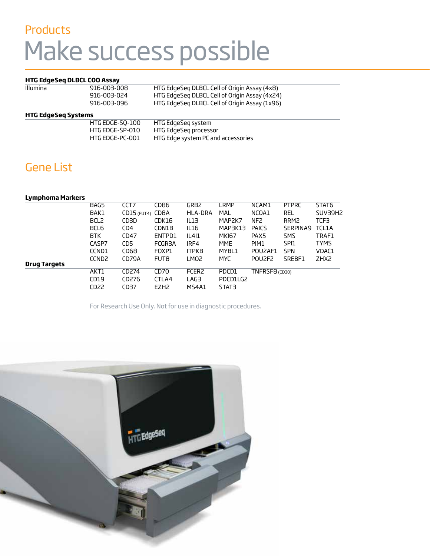# Products Make success possible

#### **HTG EdgeSeq DLBCL COO Assay**

| Illumina | 916-003-008 | HTG EdgeSeg DLBCL Cell of Origin Assay (4x8)  |
|----------|-------------|-----------------------------------------------|
|          | 916-003-024 | HTG EdgeSeg DLBCL Cell of Origin Assay (4x24) |
|          | 916-003-096 | HTG EdgeSeg DLBCL Cell of Origin Assay (1x96) |

#### **HTG EdgeSeq Systems**

| HTG EDGE-SO-100 | HTG EdgeSeg system                 |
|-----------------|------------------------------------|
| HTG EDGE-SP-010 | HTG EdgeSeg processor              |
| HTG EDGE-PC-001 | HTG Edge system PC and accessories |

### Gene List

|                | STAT6                                                                                                         |
|----------------|---------------------------------------------------------------------------------------------------------------|
|                | SUV39H2                                                                                                       |
|                | TCF3                                                                                                          |
|                | TCL1A                                                                                                         |
|                | TRAF1                                                                                                         |
|                | <b>TYMS</b>                                                                                                   |
|                | VDAC1                                                                                                         |
|                | ZHX <sub>2</sub>                                                                                              |
|                |                                                                                                               |
|                |                                                                                                               |
|                |                                                                                                               |
|                |                                                                                                               |
| TNFRSF8 (CD30) | <b>PTPRC</b><br><b>REL</b><br>RRM <sub>2</sub><br>SERPINA9<br>SMS<br>SPI <sub>1</sub><br><b>SPN</b><br>SREBF1 |

For Research Use Only. Not for use in diagnostic procedures.

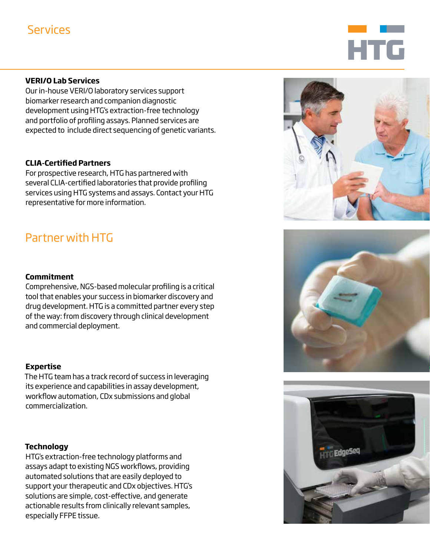## **Services**

# **HTG**

#### **VERI/O Lab Services**

Our in-house VERI/O laboratory services support biomarker research and companion diagnostic development using HTG's extraction-free technology and portfolio of profiling assays. Planned services are expected to include direct sequencing of genetic variants.

#### **CLIA-Certified Partners**

For prospective research, HTG has partnered with several CLIA-certified laboratories that provide profiling services using HTG systems and assays. Contact your HTG representative for more information.

## Partner with HTG

#### **Commitment**

Comprehensive, NGS-based molecular profiling is a critical tool that enables your success in biomarker discovery and drug development. HTG is a committed partner every step of the way: from discovery through clinical development and commercial deployment.

#### **Expertise**

The HTG team has a track record of success in leveraging its experience and capabilities in assay development, workflow automation, CDx submissions and global commercialization.

#### **Technology**

HTG's extraction-free technology platforms and assays adapt to existing NGS workflows, providing automated solutions that are easily deployed to support your therapeutic and CDx objectives. HTG's solutions are simple, cost-effective, and generate actionable results from clinically relevant samples, especially FFPE tissue.